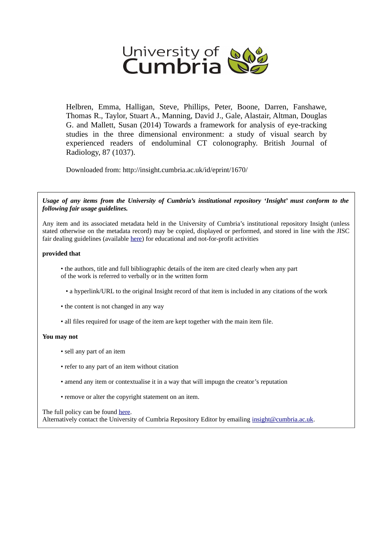

Helbren, Emma, Halligan, Steve, Phillips, Peter, Boone, Darren, Fanshawe, Thomas R., Taylor, Stuart A., Manning, David J., Gale, Alastair, Altman, Douglas G. and Mallett, Susan (2014) Towards a framework for analysis of eye-tracking studies in the three dimensional environment: a study of visual search by experienced readers of endoluminal CT colonography. British Journal of Radiology, 87 (1037).

Downloaded from: http://insight.cumbria.ac.uk/id/eprint/1670/

*Usage of any items from the University of Cumbria's institutional repository 'Insight' must conform to the following fair usage guidelines.*

Any item and its associated metadata held in the University of Cumbria's institutional repository Insight (unless stated otherwise on the metadata record) may be copied, displayed or performed, and stored in line with the JISC fair dealing guidelines (available [here\)](http://www.ukoln.ac.uk/services/elib/papers/pa/fair/) for educational and not-for-profit activities

#### **provided that**

• the authors, title and full bibliographic details of the item are cited clearly when any part of the work is referred to verbally or in the written form

• a hyperlink/URL to the original Insight record of that item is included in any citations of the work

• the content is not changed in any way

• all files required for usage of the item are kept together with the main item file.

#### **You may not**

- sell any part of an item
- refer to any part of an item without citation
- amend any item or contextualise it in a way that will impugn the creator's reputation
- remove or alter the copyright statement on an item.

The full policy can be found [here.](http://insight.cumbria.ac.uk/legal.html#section5)

Alternatively contact the University of Cumbria Repository Editor by emailing [insight@cumbria.ac.uk.](mailto:insight@cumbria.ac.uk)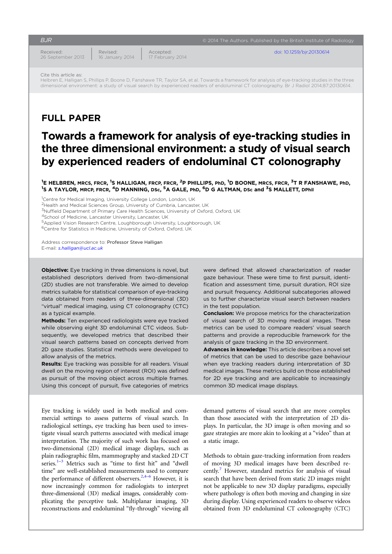Received: 26 September 2013 Revised: 16 January 2014

Accepted: 17 February 2014 [doi: 10.1259/bjr.20130614](http://dx.doi.org/10.1259/bjr.20130614)

#### Cite this article as:

Helbren E, Halligan S, Phillips P, Boone D, Fanshawe TR, Taylor SA, et al. Towards a framework for analysis of eye-tracking studies in the three dimensional environment: a study of visual search by experienced readers of endoluminal CT colonography. Br J Radiol 2014;87:20130614.

## FULL PAPER

# Towards a framework for analysis of eye-tracking studies in the three dimensional environment: a study of visual search by experienced readers of endoluminal CT colonography

<sup>1</sup>E HELBREN, MRCS, FRCR, <sup>1</sup>S HALLIGAN, FRCP, FRCR, <sup>2</sup>P PHILLIPS, PhD, <sup>1</sup>D BOONE, MRCS, FRCR, <sup>3</sup>T R FANSHAWE, PhD,<br><sup>1</sup>S A TAYLOP, MRCR ERCR, <sup>4</sup>D MANNING, DSc, <sup>5</sup>A GALE, PhD, <sup>6</sup>D G ALTMAN, DSc, and <sup>3</sup>S MALLETT, DPhi <sup>1</sup>S A TAYLOR, MRCP, FRCR, <sup>4</sup>D MANNING, DSc, <sup>5</sup>A GALE, PhD, <sup>6</sup>D G ALTMAN, DSc and <sup>3</sup>S MALLETT, DPhil

<sup>1</sup>Centre for Medical Imaging, University College London, London, UK

2Health and Medical Sciences Group, University of Cumbria, Lancaster, UK

<sup>3</sup>Nuffield Department of Primary Care Health Sciences, University of Oxford, Oxford, UK

4School of Medicine, Lancaster University, Lancaster, UK

5Applied Vision Research Centre, Loughborough University, Loughborough, UK

<sup>6</sup>Centre for Statistics in Medicine, University of Oxford, Oxford, UK

Address correspondence to: Professor Steve Halligan E-mail: [s.halligan@ucl.ac.uk](mailto:s.halligan@ucl.ac.uk)

Objective: Eye tracking in three dimensions is novel, but established descriptors derived from two-dimensional (2D) studies are not transferable. We aimed to develop metrics suitable for statistical comparison of eye-tracking data obtained from readers of three-dimensional (3D) "virtual" medical imaging, using CT colonography (CTC) as a typical example.

Methods: Ten experienced radiologists were eye tracked while observing eight 3D endoluminal CTC videos. Subsequently, we developed metrics that described their visual search patterns based on concepts derived from 2D gaze studies. Statistical methods were developed to allow analysis of the metrics.

Results: Eye tracking was possible for all readers. Visual dwell on the moving region of interest (ROI) was defined as pursuit of the moving object across multiple frames. Using this concept of pursuit, five categories of metrics

Eye tracking is widely used in both medical and commercial settings to assess patterns of visual search. In radiological settings, eye tracking has been used to investigate visual search patterns associated with medical image interpretation. The majority of such work has focused on two-dimensional (2D) medical image displays, such as plain radiographic film, mammography and stacked 2D CT series. $1-3$  $1-3$  $1-3$  Metrics such as "time to first hit" and "dwell time" are well-established measurements used to compare the performance of different observers.<sup>2,4–[6](#page-6-0)</sup> However, it is now increasingly common for radiologists to interpret three-dimensional (3D) medical images, considerably complicating the perceptive task. Multiplanar imaging, 3D reconstructions and endoluminal "fly-through" viewing all

were defined that allowed characterization of reader gaze behaviour. These were time to first pursuit, identification and assessment time, pursuit duration, ROI size and pursuit frequency. Additional subcategories allowed us to further characterize visual search between readers in the test population.

**Conclusion:** We propose metrics for the characterization of visual search of 3D moving medical images. These metrics can be used to compare readers' visual search patterns and provide a reproducible framework for the analysis of gaze tracking in the 3D environment.

Advances in knowledge: This article describes a novel set of metrics that can be used to describe gaze behaviour when eye tracking readers during interpretation of 3D medical images. These metrics build on those established for 2D eye tracking and are applicable to increasingly common 3D medical image displays.

demand patterns of visual search that are more complex than those associated with the interpretation of 2D displays. In particular, the 3D image is often moving and so gaze strategies are more akin to looking at a "video" than at a static image.

Methods to obtain gaze-tracking information from readers of moving 3D medical images have been described recently.[7](#page-6-0) However, standard metrics for analysis of visual search that have been derived from static 2D images might not be applicable to new 3D display paradigms, especially where pathology is often both moving and changing in size during display. Using experienced readers to observe videos obtained from 3D endoluminal CT colonography (CTC)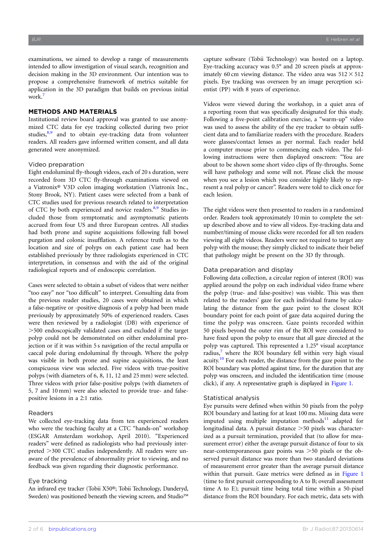examinations, we aimed to develop a range of measurements intended to allow investigation of visual search, recognition and decision making in the 3D environment. Our intention was to propose a comprehensive framework of metrics suitable for application in the 3D paradigm that builds on previous initial work.<sup>[7](#page-6-0)</sup>

#### METHODS AND MATERIALS

Institutional review board approval was granted to use anonymized CTC data for eye tracking collected during two prior studies,<sup>[8,9](#page-6-0)</sup> and to obtain eye-tracking data from volunteer readers. All readers gave informed written consent, and all data generated were anonymized.

#### Video preparation

Eight endoluminal fly-though videos, each of 20 s duration, were recorded from 3D CTC fly-through examinations viewed on a Viatronix® V3D colon imaging workstation (Viatronix Inc., Stony Brook, NY). Patient cases were selected from a bank of CTC studies used for previous research related to interpretation of CTC by both experienced and novice readers.<sup>[8,9](#page-6-0)</sup> Studies included those from symptomatic and asymptomatic patients accrued from four US and three European centres. All studies had both prone and supine acquisitions following full bowel purgation and colonic insufflation. A reference truth as to the location and size of polyps on each patient case had been established previously by three radiologists experienced in CTC interpretation, in consensus and with the aid of the original radiological reports and of endoscopic correlation.

Cases were selected to obtain a subset of videos that were neither "too easy" nor "too difficult" to interpret. Consulting data from the previous reader studies, 20 cases were obtained in which a false-negative or -positive diagnosis of a polyp had been made previously by approximately 50% of experienced readers. Cases were then reviewed by a radiologist (DB) with experience of .500 endoscopically validated cases and excluded if the target polyp could not be demonstrated on either endoluminal projection or if it was within 5 s navigation of the rectal ampulla or caecal pole during endoluminal fly through. Where the polyp was visible in both prone and supine acquisitions, the least conspicuous view was selected. Five videos with true-positive polyps (with diameters of 6, 8, 11, 12 and 25 mm) were selected. Three videos with prior false-positive polyps (with diameters of 5, 7 and 10 mm) were also selected to provide true- and falsepositive lesions in a 2:1 ratio.

#### Readers

We collected eye-tracking data from ten experienced readers who were the teaching faculty at a CTC "hands-on" workshop (ESGAR Amsterdam workshop, April 2010). "Experienced readers" were defined as radiologists who had previously interpreted >300 CTC studies independently. All readers were unaware of the prevalence of abnormality prior to viewing, and no feedback was given regarding their diagnostic performance.

#### Eye tracking

An infrared eye tracker (Tobii X50®; Tobii Technology, Danderyd, Sweden) was positioned beneath the viewing screen, and Studio™

capture software (Tobii Technology) was hosted on a laptop. Eye-tracking accuracy was 0.5° and 20 screen pixels at approximately 60 cm viewing distance. The video area was  $512 \times 512$ pixels. Eye tracking was overseen by an image perception scientist (PP) with 8 years of experience.

Videos were viewed during the workshop, in a quiet area of a reporting room that was specifically designated for this study. Following a five-point calibration exercise, a "warm-up" video was used to assess the ability of the eye tracker to obtain sufficient data and to familiarize readers with the procedure. Readers wore glasses/contact lenses as per normal. Each reader held a computer mouse prior to commencing each video. The following instructions were then displayed onscreen: "You are about to be shown some short video clips of fly-throughs. Some will have pathology and some will not. Please click the mouse when you see a lesion which you consider highly likely to represent a real polyp or cancer". Readers were told to click once for each lesion.

The eight videos were then presented to readers in a randomized order. Readers took approximately 10 min to complete the setup described above and to view all videos. Eye-tracking data and number/timing of mouse clicks were recorded for all ten readers viewing all eight videos. Readers were not required to target any polyp with the mouse; they simply clicked to indicate their belief that pathology might be present on the 3D fly through.

#### Data preparation and display

Following data collection, a circular region of interest (ROI) was applied around the polyp on each individual video frame where the polyp (true- and false-positive) was visible. This was then related to the readers' gaze for each individual frame by calculating the distance from the gaze point to the closest ROI boundary point for each point of gaze data acquired during the time the polyp was onscreen. Gaze points recorded within 50 pixels beyond the outer rim of the ROI were considered to have fixed upon the polyp to ensure that all gaze directed at the polyp was captured. This represented a 1.25° visual acceptance radius, $7$  where the ROI boundary fell within very high visual acuity.<sup>[10](#page-6-0)</sup> For each reader, the distance from the gaze point to the ROI boundary was plotted against time, for the duration that any polyp was onscreen, and included the identification time (mouse click), if any. A representative graph is displayed in [Figure 1](#page-3-0).

#### Statistical analysis

Eye pursuits were defined when within 50 pixels from the polyp ROI boundary and lasting for at least 100 ms. Missing data were imputed using multiple imputation methods $11$  adapted for longitudinal data. A pursuit distance > 50 pixels was characterized as a pursuit termination, provided that (to allow for measurement error) either the average pursuit distance of four to six near-contemporaneous gaze points was  $>50$  pixels or the observed pursuit distance was more than two standard deviations of measurement error greater than the average pursuit distance within that pursuit. Gaze metrics were defined as in [Figure 1](#page-3-0) (time to first pursuit corresponding to A to B; overall assessment time A to E); pursuit time being total time within a 50-pixel distance from the ROI boundary. For each metric, data sets with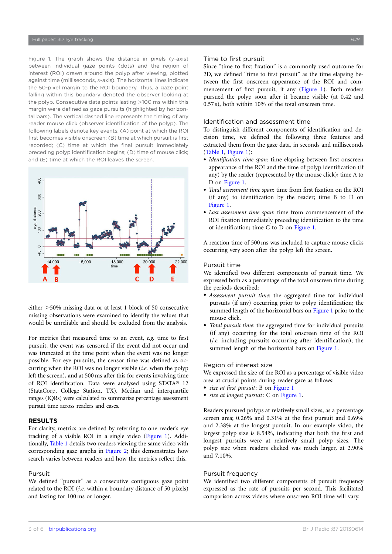<span id="page-3-0"></span>Figure 1. The graph shows the distance in pixels ( $y$ -axis) between individual gaze points (dots) and the region of interest (ROI) drawn around the polyp after viewing, plotted against time (milliseconds, x-axis). The horizontal lines indicate the 50-pixel margin to the ROI boundary. Thus, a gaze point falling within this boundary denoted the observer looking at the polyp. Consecutive data points lasting  $>100$  ms within this margin were defined as gaze pursuits (highlighted by horizontal bars). The vertical dashed line represents the timing of any reader mouse click (observer identification of the polyp). The following labels denote key events: (A) point at which the ROI first becomes visible onscreen; (B) time at which pursuit is first recorded; (C) time at which the final pursuit immediately preceding polyp identification begins; (D) time of mouse click; and (E) time at which the ROI leaves the screen.



either  $>50\%$  missing data or at least 1 block of 50 consecutive missing observations were examined to identify the values that would be unreliable and should be excluded from the analysis.

For metrics that measured time to an event, e.g. time to first pursuit, the event was censored if the event did not occur and was truncated at the time point when the event was no longer possible. For eye pursuits, the censor time was defined as occurring when the ROI was no longer visible (i.e. when the polyp left the screen), and at 500 ms after this for events involving time of ROI identification. Data were analysed using STATA® 12 (StataCorp, College Station, TX). Median and interquartile ranges (IQRs) were calculated to summarize percentage assessment pursuit time across readers and cases.

#### RESULTS

For clarity, metrics are defined by referring to one reader's eye tracking of a visible ROI in a single video (Figure 1). Additionally, [Table 1](#page-4-0) details two readers viewing the same video with corresponding gaze graphs in [Figure 2;](#page-4-0) this demonstrates how search varies between readers and how the metrics reflect this.

#### Pursuit

We defined "pursuit" as a consecutive contiguous gaze point related to the ROI (i.e. within a boundary distance of 50 pixels) and lasting for 100 ms or longer.

#### Time to first pursuit

Since "time to first fixation" is a commonly used outcome for 2D, we defined "time to first pursuit" as the time elapsing between the first onscreen appearance of the ROI and commencement of first pursuit, if any (Figure 1). Both readers pursued the polyp soon after it became visible (at 0.42 and 0.57 s), both within 10% of the total onscreen time.

#### Identification and assessment time

To distinguish different components of identification and decision time, we defined the following three features and extracted them from the gaze data, in seconds and milliseconds ([Table 1](#page-4-0), Figure 1):

- Identification time span: time elapsing between first onscreen appearance of the ROI and the time of polyp identification (if any) by the reader (represented by the mouse click); time A to D on Figure 1.
- Total assessment time span: time from first fixation on the ROI (if any) to identification by the reader; time B to D on Figure 1.
- Last assessment time span: time from commencement of the ROI fixation immediately preceding identification to the time of identification; time C to D on Figure 1.

A reaction time of 500 ms was included to capture mouse clicks occurring very soon after the polyp left the screen.

#### Pursuit time

We identified two different components of pursuit time. We expressed both as a percentage of the total onscreen time during the periods described:

- Assessment pursuit time: the aggregated time for individual pursuits (if any) occurring prior to polyp identification; the summed length of the horizontal bars on Figure 1 prior to the mouse click.
- Total pursuit time: the aggregated time for individual pursuits (if any) occurring for the total onscreen time of the ROI (i.e. including pursuits occurring after identification); the summed length of the horizontal bars on Figure 1.

#### Region of interest size

We expressed the size of the ROI as a percentage of visible video area at crucial points during reader gaze as follows:

- size at first pursuit: B on Figure 1
- size at longest pursuit: C on Figure 1.

Readers pursued polyps at relatively small sizes, as a percentage screen area; 0.26% and 0.31% at the first pursuit and 0.69% and 2.38% at the longest pursuit. In our example video, the largest polyp size is 8.54%, indicating that both the first and longest pursuits were at relatively small polyp sizes. The polyp size when readers clicked was much larger, at 2.90% and 7.10%.

#### Pursuit frequency

We identified two different components of pursuit frequency expressed as the rate of pursuits per second. This facilitated comparison across videos where onscreen ROI time will vary.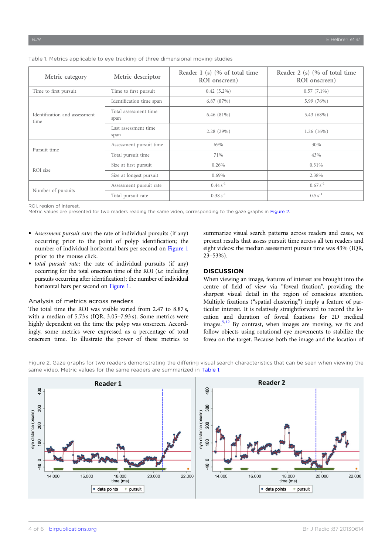| Metric category                       | Metric descriptor             | Reader 1 (s) (% of total time<br>ROI onscreen) | Reader 2 (s) (% of total time<br>ROI onscreen) |
|---------------------------------------|-------------------------------|------------------------------------------------|------------------------------------------------|
| Time to first pursuit                 | Time to first pursuit         | $0.42(5.2\%)$                                  | $0.57(7.1\%)$                                  |
| Identification and assessment<br>time | Identification time span      | 6.87(87%)                                      | 5.99 (76%)                                     |
|                                       | Total assessment time<br>span | 6.46(81%)                                      | 5.43 (68%)                                     |
|                                       | Last assessment time<br>span  | 2.28(29%)                                      | $1.26(16\%)$                                   |
| Pursuit time                          | Assessment pursuit time       | 69%                                            | 30%                                            |
|                                       | Total pursuit time            | 71%                                            | 43%                                            |
| ROI size                              | Size at first pursuit         | 0.26%                                          | 0.31%                                          |
|                                       | Size at longest pursuit       | 0.69%                                          | 2.38%                                          |
| Number of pursuits                    | Assessment pursuit rate       | $0.44 s^{-1}$                                  | $0.67 s^{-1}$                                  |
|                                       | Total pursuit rate            | $0.38 s^{-1}$                                  | $0.5 s^{-1}$                                   |

<span id="page-4-0"></span>Table 1. Metrics applicable to eye tracking of three dimensional moving studies

ROI, region of interest.

Metric values are presented for two readers reading the same video, corresponding to the gaze graphs in Figure 2.

- Assessment pursuit rate: the rate of individual pursuits (if any) occurring prior to the point of polyp identification; the number of individual horizontal bars per second on [Figure 1](#page-3-0) prior to the mouse click.
- total pursuit rate: the rate of individual pursuits (if any) occurring for the total onscreen time of the ROI (i.e. including pursuits occurring after identification); the number of individual horizontal bars per second on [Figure 1](#page-3-0).

### Analysis of metrics across readers

The total time the ROI was visible varied from 2.47 to 8.87 s, with a median of 5.73 s (IQR, 3.05–7.93 s). Some metrics were highly dependent on the time the polyp was onscreen. Accordingly, some metrics were expressed as a percentage of total onscreen time. To illustrate the power of these metrics to

summarize visual search patterns across readers and cases, we present results that assess pursuit time across all ten readers and eight videos: the median assessment pursuit time was 43% (IQR,  $23 - 53%$ ).

#### **DISCUSSION**

When viewing an image, features of interest are brought into the centre of field of view via "foveal fixation", providing the sharpest visual detail in the region of conscious attention. Multiple fixations ("spatial clustering") imply a feature of particular interest. It is relatively straightforward to record the location and duration of foveal fixations for 2D medical images.<sup>[5,12](#page-6-0)</sup> By contrast, when images are moving, we fix and follow objects using rotational eye movements to stabilize the fovea on the target. Because both the image and the location of

Figure 2. Gaze graphs for two readers demonstrating the differing visual search characteristics that can be seen when viewing the same video. Metric values for the same readers are summarized in Table 1.

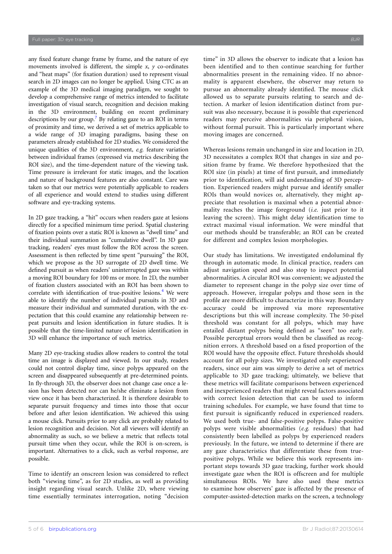any fixed feature change frame by frame, and the nature of eye movements involved is different, the simple  $x$ ,  $y$  co-ordinates and "heat maps" (for fixation duration) used to represent visual search in 2D images can no longer be applied. Using CTC as an example of the 3D medical imaging paradigm, we sought to develop a comprehensive range of metrics intended to facilitate investigation of visual search, recognition and decision making in the 3D environment, building on recent preliminary descriptions by our group.<sup>[7](#page-6-0)</sup> By relating gaze to an ROI in terms of proximity and time, we derived a set of metrics applicable to a wide range of 3D imaging paradigms, basing these on parameters already established for 2D studies. We considered the unique qualities of the 3D environment, e.g. feature variation between individual frames (expressed via metrics describing the ROI size), and the time-dependent nature of the viewing task. Time pressure is irrelevant for static images, and the location and nature of background features are also constant. Care was taken so that our metrics were potentially applicable to readers of all experience and would extend to studies using different software and eye-tracking systems.

In 2D gaze tracking, a "hit" occurs when readers gaze at lesions directly for a specified minimum time period. Spatial clustering of fixation points over a static ROI is known as "dwell time" and their individual summation as "cumulative dwell". In 3D gaze tracking, readers' eyes must follow the ROI across the screen. Assessment is then reflected by time spent "pursuing" the ROI, which we propose as the 3D surrogate of 2D dwell time. We defined pursuit as when readers' uninterrupted gaze was within a moving ROI boundary for 100 ms or more. In 2D, the number of fixation clusters associated with an ROI has been shown to correlate with identification of true-positive lesions.<sup>4</sup> We were able to identify the number of individual pursuits in 3D and measure their individual and summated duration, with the expectation that this could examine any relationship between repeat pursuits and lesion identification in future studies. It is possible that the time-limited nature of lesion identification in 3D will enhance the importance of such metrics.

Many 2D eye-tracking studies allow readers to control the total time an image is displayed and viewed. In our study, readers could not control display time, since polyps appeared on the screen and disappeared subsequently at pre-determined points. In fly-through 3D, the observer does not change case once a lesion has been detected nor can he/she eliminate a lesion from view once it has been characterized. It is therefore desirable to separate pursuit frequency and times into those that occur before and after lesion identification. We achieved this using a mouse click. Pursuits prior to any click are probably related to lesion recognition and decision. Not all viewers will identify an abnormality as such, so we believe a metric that reflects total pursuit time when they occur, while the ROI is on-screen, is important. Alternatives to a click, such as verbal response, are possible.

Time to identify an onscreen lesion was considered to reflect both "viewing time", as for 2D studies, as well as providing insight regarding visual search. Unlike 2D, where viewing time essentially terminates interrogation, noting "decision

time" in 3D allows the observer to indicate that a lesion has been identified and to then continue searching for further abnormalities present in the remaining video. If no abnormality is apparent elsewhere, the observer may return to pursue an abnormality already identified. The mouse click allowed us to separate pursuits relating to search and detection. A marker of lesion identification distinct from pursuit was also necessary, because it is possible that experienced readers may perceive abnormalities via peripheral vision, without formal pursuit. This is particularly important where moving images are concerned.

Whereas lesions remain unchanged in size and location in 2D, 3D necessitates a complex ROI that changes in size and position frame by frame. We therefore hypothesized that the ROI size (in pixels) at time of first pursuit, and immediately prior to identification, will aid understanding of 3D perception. Experienced readers might pursue and identify smaller ROIs than would novices or, alternatively, they might appreciate that resolution is maximal when a potential abnormality reaches the image foreground (i.e. just prior to it leaving the screen). This might delay identification time to extract maximal visual information. We were mindful that our methods should be transferable; an ROI can be created for different and complex lesion morphologies.

Our study has limitations. We investigated endoluminal fly through in automatic mode. In clinical practice, readers can adjust navigation speed and also stop to inspect potential abnormalities. A circular ROI was convenient; we adjusted the diameter to represent change in the polyp size over time of approach. However, irregular polyps and those seen in the profile are more difficult to characterize in this way. Boundary accuracy could be improved via more representative descriptions but this will increase complexity. The 50-pixel threshold was constant for all polyps, which may have entailed distant polyps being defined as "seen" too early. Possible perceptual errors would then be classified as recognition errors. A threshold based on a fixed proportion of the ROI would have the opposite effect. Future thresholds should account for all polyp sizes. We investigated only experienced readers, since our aim was simply to derive a set of metrics applicable to 3D gaze tracking; ultimately, we believe that these metrics will facilitate comparisons between experienced and inexperienced readers that might reveal factors associated with correct lesion detection that can be used to inform training schedules. For example, we have found that time to first pursuit is significantly reduced in experienced readers. We used both true- and false-positive polyps. False-positive polyps were visible abnormalities (e.g. residues) that had consistently been labelled as polyps by experienced readers previously. In the future, we intend to determine if there are any gaze characteristics that differentiate these from truepositive polyps. While we believe this work represents important steps towards 3D gaze tracking, further work should investigate gaze when the ROI is offscreen and for multiple simultaneous ROIs. We have also used these metrics to examine how observers' gaze is affected by the presence of computer-assisted-detection marks on the screen, a technology